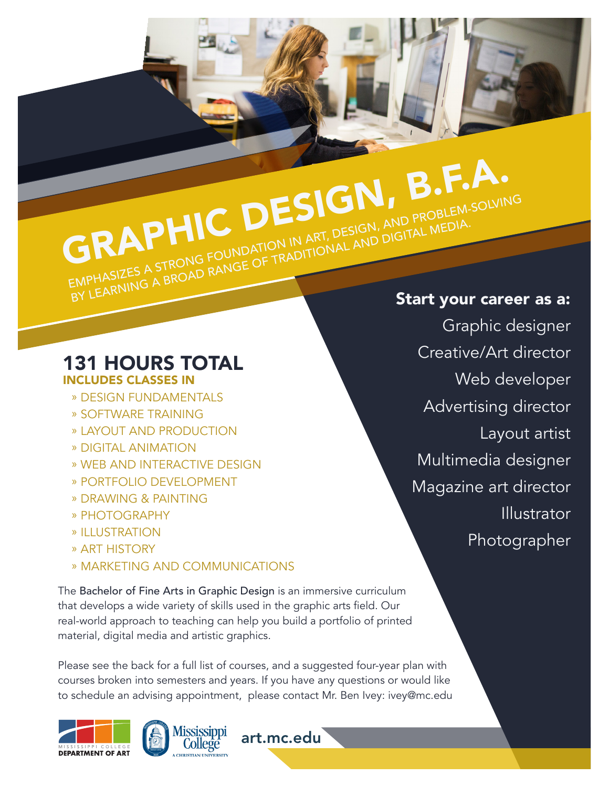## GRAPHIC DESIGN, B.F.A. EMPHASIZES A STRONG FOUNDATION IN ART, DESIGN, AND PROBLEM-SOLVING EMPHASIZES A STRONG FOUNDATION IN ART, DESIGN, AND DIGITAL MEDIA.<br>BY LEARNING A BROAD RANGE OF TRADITIONAL AND DIGITAL MEDIA.

#### 131 HOURS TOTAL INCLUDES CLASSES IN

- » DESIGN FUNDAMENTALS
- » SOFTWARE TRAINING
- » LAYOUT AND PRODUCTION
- » DIGITAL ANIMATION
- » WEB AND INTERACTIVE DESIGN
- » PORTFOLIO DEVELOPMENT
- » DRAWING & PAINTING
- » PHOTOGRAPHY
- » ILLUSTRATION
- » ART HISTORY
- » MARKETING AND COMMUNICATIONS

The Bachelor of Fine Arts in Graphic Design is an immersive curriculum that develops a wide variety of skills used in the graphic arts field. Our real-world approach to teaching can help you build a portfolio of printed material, digital media and artistic graphics.

Please see the back for a full list of courses, and a suggested four-year plan with courses broken into semesters and years. If you have any questions or would like to schedule an advising appointment, please contact Mr. Ben Ivey: ivey@mc.edu

art.mc.edu





#### Start your career as a:

Graphic designer Creative/Art director Web developer Advertising director Layout artist Multimedia designer Magazine art director Illustrator Photographer